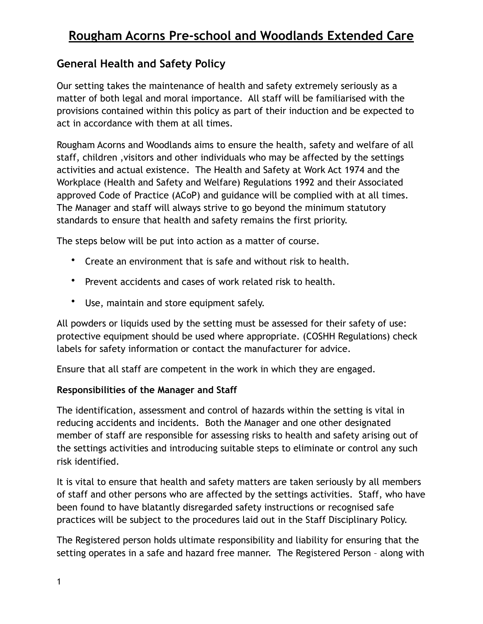### **General Health and Safety Policy**

Our setting takes the maintenance of health and safety extremely seriously as a matter of both legal and moral importance. All staff will be familiarised with the provisions contained within this policy as part of their induction and be expected to act in accordance with them at all times.

Rougham Acorns and Woodlands aims to ensure the health, safety and welfare of all staff, children ,visitors and other individuals who may be affected by the settings activities and actual existence. The Health and Safety at Work Act 1974 and the Workplace (Health and Safety and Welfare) Regulations 1992 and their Associated approved Code of Practice (ACoP) and guidance will be complied with at all times. The Manager and staff will always strive to go beyond the minimum statutory standards to ensure that health and safety remains the first priority.

The steps below will be put into action as a matter of course.

- Create an environment that is safe and without risk to health.
- Prevent accidents and cases of work related risk to health.
- Use, maintain and store equipment safely.

All powders or liquids used by the setting must be assessed for their safety of use: protective equipment should be used where appropriate. (COSHH Regulations) check labels for safety information or contact the manufacturer for advice.

Ensure that all staff are competent in the work in which they are engaged.

### **Responsibilities of the Manager and Staff**

The identification, assessment and control of hazards within the setting is vital in reducing accidents and incidents. Both the Manager and one other designated member of staff are responsible for assessing risks to health and safety arising out of the settings activities and introducing suitable steps to eliminate or control any such risk identified.

It is vital to ensure that health and safety matters are taken seriously by all members of staff and other persons who are affected by the settings activities. Staff, who have been found to have blatantly disregarded safety instructions or recognised safe practices will be subject to the procedures laid out in the Staff Disciplinary Policy.

The Registered person holds ultimate responsibility and liability for ensuring that the setting operates in a safe and hazard free manner. The Registered Person – along with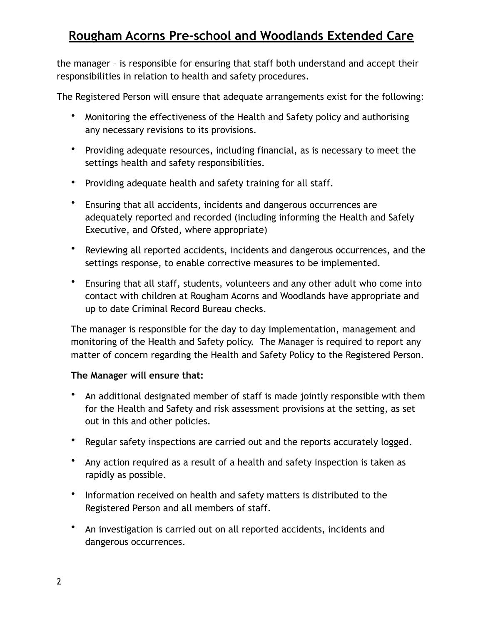the manager – is responsible for ensuring that staff both understand and accept their responsibilities in relation to health and safety procedures.

The Registered Person will ensure that adequate arrangements exist for the following:

- Monitoring the effectiveness of the Health and Safety policy and authorising any necessary revisions to its provisions.
- Providing adequate resources, including financial, as is necessary to meet the settings health and safety responsibilities.
- Providing adequate health and safety training for all staff.
- Ensuring that all accidents, incidents and dangerous occurrences are adequately reported and recorded (including informing the Health and Safely Executive, and Ofsted, where appropriate)
- Reviewing all reported accidents, incidents and dangerous occurrences, and the settings response, to enable corrective measures to be implemented.
- Ensuring that all staff, students, volunteers and any other adult who come into contact with children at Rougham Acorns and Woodlands have appropriate and up to date Criminal Record Bureau checks.

The manager is responsible for the day to day implementation, management and monitoring of the Health and Safety policy. The Manager is required to report any matter of concern regarding the Health and Safety Policy to the Registered Person.

### **The Manager will ensure that:**

- An additional designated member of staff is made jointly responsible with them for the Health and Safety and risk assessment provisions at the setting, as set out in this and other policies.
- Regular safety inspections are carried out and the reports accurately logged.
- Any action required as a result of a health and safety inspection is taken as rapidly as possible.
- Information received on health and safety matters is distributed to the Registered Person and all members of staff.
- An investigation is carried out on all reported accidents, incidents and dangerous occurrences.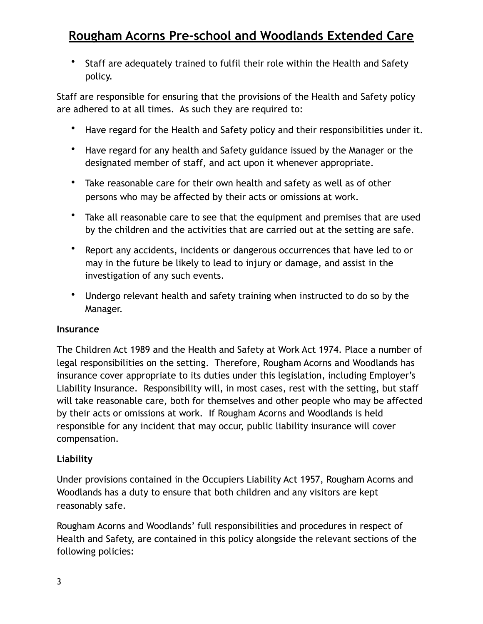• Staff are adequately trained to fulfil their role within the Health and Safety policy.

Staff are responsible for ensuring that the provisions of the Health and Safety policy are adhered to at all times. As such they are required to:

- Have regard for the Health and Safety policy and their responsibilities under it.
- Have regard for any health and Safety guidance issued by the Manager or the designated member of staff, and act upon it whenever appropriate.
- Take reasonable care for their own health and safety as well as of other persons who may be affected by their acts or omissions at work.
- Take all reasonable care to see that the equipment and premises that are used by the children and the activities that are carried out at the setting are safe.
- Report any accidents, incidents or dangerous occurrences that have led to or may in the future be likely to lead to injury or damage, and assist in the investigation of any such events.
- Undergo relevant health and safety training when instructed to do so by the Manager.

### **Insurance**

The Children Act 1989 and the Health and Safety at Work Act 1974. Place a number of legal responsibilities on the setting. Therefore, Rougham Acorns and Woodlands has insurance cover appropriate to its duties under this legislation, including Employer's Liability Insurance. Responsibility will, in most cases, rest with the setting, but staff will take reasonable care, both for themselves and other people who may be affected by their acts or omissions at work. If Rougham Acorns and Woodlands is held responsible for any incident that may occur, public liability insurance will cover compensation.

### **Liability**

Under provisions contained in the Occupiers Liability Act 1957, Rougham Acorns and Woodlands has a duty to ensure that both children and any visitors are kept reasonably safe.

Rougham Acorns and Woodlands' full responsibilities and procedures in respect of Health and Safety, are contained in this policy alongside the relevant sections of the following policies: